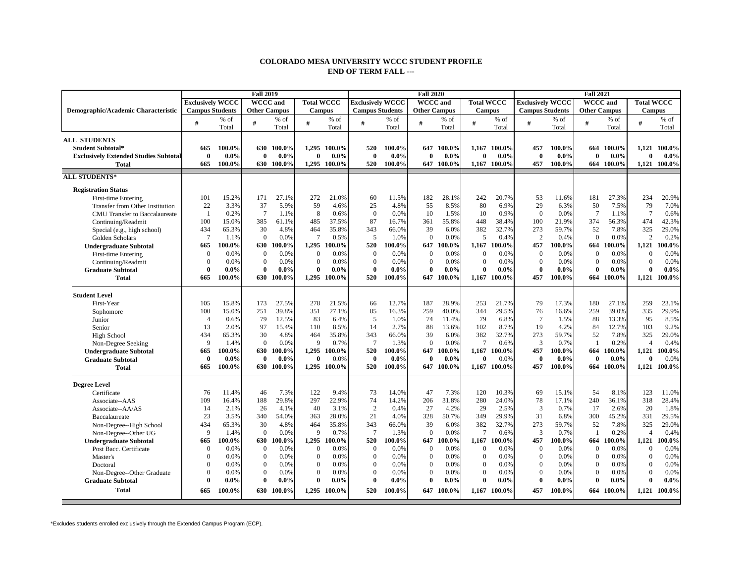## **COLORADO MESA UNIVERSITY WCCC STUDENT PROFILE END OF TERM FALL ---**

|                                              |                         |         | <b>Fall 2019</b>    |            |                   |              |                         |         | <b>Fall 2020</b>    |            |                   |              | <b>Fall 2021</b>        |         |                     |            |                   |              |  |
|----------------------------------------------|-------------------------|---------|---------------------|------------|-------------------|--------------|-------------------------|---------|---------------------|------------|-------------------|--------------|-------------------------|---------|---------------------|------------|-------------------|--------------|--|
|                                              | <b>Exclusively WCCC</b> |         | <b>WCCC</b> and     |            | <b>Total WCCC</b> |              | <b>Exclusively WCCC</b> |         | <b>WCCC</b> and     |            | <b>Total WCCC</b> |              | <b>Exclusively WCCC</b> |         | <b>WCCC</b> and     |            | <b>Total WCCC</b> |              |  |
| Demographic/Academic Characteristic          | <b>Campus Students</b>  |         | <b>Other Campus</b> |            | <b>Campus</b>     |              | <b>Campus Students</b>  |         | <b>Other Campus</b> |            | <b>Campus</b>     |              | <b>Campus Students</b>  |         | <b>Other Campus</b> |            | <b>Campus</b>     |              |  |
|                                              | #                       | % of    | #                   | % of       | #                 | $%$ of       | #                       | % of    | #                   | % of       | #                 | % of         | #                       | % of    | #                   | $%$ of     | #                 | % of         |  |
|                                              |                         | Total   |                     | Total      |                   | Total        |                         | Total   |                     | Total      |                   | Total        |                         | Total   |                     | Total      |                   | Total        |  |
| <b>ALL STUDENTS</b>                          |                         |         |                     |            |                   |              |                         |         |                     |            |                   |              |                         |         |                     |            |                   |              |  |
| Student Subtotal*                            | 665                     | 100.0%  |                     | 630 100.0% | 1.295             | 100.0%       | 520                     | 100.0%  | 647                 | 100.0%     | 1,167             | 100.0%       | 457                     | 100.0%  | 664                 | 100.0%     | 1.121             | 100.0%       |  |
| <b>Exclusively Extended Studies Subtotal</b> | $\bf{0}$                | $0.0\%$ | $\bf{0}$            | $0.0\%$    | $\bf{0}$          | $0.0\%$      | $\mathbf{0}$            | $0.0\%$ | 0                   | $0.0\%$    | $\bf{0}$          | $0.0\%$      | $\mathbf{0}$            | $0.0\%$ | $\mathbf{0}$        | $0.0\%$    | $\bf{0}$          | $0.0\%$      |  |
| <b>Total</b>                                 | 665                     | 100.0%  |                     | 630 100.0% |                   | 1.295 100.0% | 520                     | 100.0%  |                     | 647 100.0% |                   | 1,167 100.0% | 457                     | 100.0%  | 664                 | $100.0\%$  | 1.121             | 100.0%       |  |
|                                              |                         |         |                     |            |                   |              |                         |         |                     |            |                   |              |                         |         |                     |            |                   |              |  |
| <b>ALL STUDENTS*</b>                         |                         |         |                     |            |                   |              |                         |         |                     |            |                   |              |                         |         |                     |            |                   |              |  |
| <b>Registration Status</b>                   |                         |         |                     |            |                   |              |                         |         |                     |            |                   |              |                         |         |                     |            |                   |              |  |
| First-time Entering                          | 101                     | 15.2%   | 171                 | 27.1%      | 272               | 21.0%        | 60                      | 11.5%   | 182                 | 28.1%      | 242               | 20.7%        | 53                      | 11.6%   | 181                 | 27.3%      | 234               | 20.9%        |  |
| Transfer from Other Institution              | 22                      | 3.3%    | 37                  | 5.9%       | 59                | 4.6%         | 25                      | 4.8%    | 55                  | 8.5%       | 80                | 6.9%         | 29                      | 6.3%    | 50                  | 7.5%       | 79                | 7.0%         |  |
| <b>CMU</b> Transfer to Baccalaureate         | $\overline{1}$          | 0.2%    | $7\phantom{.0}$     | 1.1%       | 8                 | 0.6%         | $\Omega$                | 0.0%    | 10                  | 1.5%       | 10                | 0.9%         | $\Omega$                | 0.0%    | $7\phantom{.0}$     | 1.1%       | $7\phantom{.0}$   | 0.6%         |  |
| Continuing/Readmit                           | 100                     | 15.0%   | 385                 | 61.1%      | 485               | 37.5%        | 87                      | 16.7%   | 361                 | 55.8%      | 448               | 38.4%        | 100                     | 21.9%   | 374                 | 56.3%      | 474               | 42.3%        |  |
| Special (e.g., high school)                  | 434                     | 65.3%   | 30                  | 4.8%       | 464               | 35.8%        | 343                     | 66.0%   | 39                  | 6.0%       | 382               | 32.7%        | 273                     | 59.7%   | 52                  | 7.8%       | 325               | 29.0%        |  |
| Golden Scholars                              | $\overline{7}$          | 1.1%    | $\mathbf{0}$        | 0.0%       | $7\phantom{.0}$   | 0.5%         | 5                       | 1.0%    | $\Omega$            | 0.0%       | 5                 | 0.4%         | $\overline{2}$          | 0.4%    | $\Omega$            | 0.0%       | $\overline{2}$    | 0.2%         |  |
| <b>Undergraduate Subtotal</b>                | 665                     | 100.0%  | 630                 | 100.0%     | 1,295             | 100.0%       | 520                     | 100.0%  | 647                 | 100.0%     | 1,167             | 100.0%       | 457                     | 100.0%  | 664                 | 100.0%     | 1,121             | 100.0%       |  |
| First-time Entering                          | $\theta$                | 0.0%    | $\mathbf{0}$        | 0.0%       | $\mathbf{0}$      | 0.0%         | $\theta$                | 0.0%    | $\overline{0}$      | 0.0%       | $\mathbf{0}$      | 0.0%         | $\Omega$                | 0.0%    | $\overline{0}$      | 0.0%       | $\mathbf{0}$      | 0.0%         |  |
| Continuing/Readmit                           | $\overline{0}$          | 0.0%    | $\boldsymbol{0}$    | 0.0%       | $\mathbf{0}$      | 0.0%         | $\Omega$                | 0.0%    | $\boldsymbol{0}$    | 0.0%       | $\mathbf{0}$      | 0.0%         | $\Omega$                | 0.0%    | $\mathbf{0}$        | 0.0%       | $\mathbf{0}$      | 0.0%         |  |
| <b>Graduate Subtotal</b>                     | $\Omega$                | $0.0\%$ | 0                   | $0.0\%$    | $\mathbf{0}$      | $0.0\%$      | $\mathbf{0}$            | $0.0\%$ | $\theta$            | $0.0\%$    | $\mathbf{0}$      | $0.0\%$      | $\mathbf{0}$            | $0.0\%$ | $\theta$            | $0.0\%$    | $\mathbf{0}$      | $0.0\%$      |  |
| <b>Total</b>                                 | 665                     | 100.0%  | 630                 | 100.0%     | 1,295             | 100.0%       | 520                     | 100.0%  | 647                 | 100.0%     | 1,167             | 100.0%       | 457                     | 100.0%  | 664                 | 100.0%     | 1,121             | 100.0%       |  |
|                                              |                         |         |                     |            |                   |              |                         |         |                     |            |                   |              |                         |         |                     |            |                   |              |  |
| <b>Student Level</b>                         |                         |         |                     |            |                   |              |                         |         |                     |            |                   |              |                         |         |                     |            |                   |              |  |
| First-Year                                   | 105                     | 15.8%   | 173                 | 27.5%      | 278               | 21.5%        | 66                      | 12.7%   | 187                 | 28.9%      | 253               | 21.7%        | 79                      | 17.3%   | 180                 | 27.1%      | 259               | 23.1%        |  |
| Sophomore                                    | 100                     | 15.0%   | 251                 | 39.8%      | 351               | 27.1%        | 85                      | 16.3%   | 259                 | 40.0%      | 344               | 29.5%        | 76                      | 16.6%   | 259                 | 39.0%      | 335               | 29.9%        |  |
| Junior                                       | $\overline{4}$          | 0.6%    | 79                  | 12.5%      | 83                | 6.4%         | 5                       | 1.0%    | 74                  | 11.4%      | 79                | 6.8%         | $7\phantom{.0}$         | 1.5%    | 88                  | 13.3%      | 95                | 8.5%         |  |
| Senior                                       | 13                      | 2.0%    | 97                  | 15.4%      | 110               | 8.5%         | 14                      | 2.7%    | 88                  | 13.6%      | 102               | 8.7%         | 19                      | 4.2%    | 84                  | 12.7%      | 103               | 9.2%         |  |
| High School                                  | 434                     | 65.3%   | 30                  | 4.8%       | 464               | 35.8%        | 343                     | 66.0%   | 39                  | 6.0%       | 382               | 32.7%        | 273                     | 59.7%   | 52                  | 7.8%       | 325               | 29.0%        |  |
| Non-Degree Seeking                           | 9                       | 1.4%    | $\mathbf{0}$        | 0.0%       | 9                 | 0.7%         | $7\phantom{.0}$         | 1.3%    | $\Omega$            | 0.0%       | $\tau$            | 0.6%         | 3                       | 0.7%    | $\overline{1}$      | 0.2%       | $\overline{4}$    | 0.4%         |  |
| <b>Undergraduate Subtotal</b>                | 665                     | 100.0%  | 630                 | 100.0%     |                   | 1,295 100.0% | 520                     | 100.0%  | 647                 | 100.0%     | 1,167             | 100.0%       | 457                     | 100.0%  | 664                 | 100.0%     | 1,121             | 100.0%       |  |
| <b>Graduate Subtotal</b>                     | $\theta$                | $0.0\%$ | $\mathbf{0}$        | $0.0\%$    | $\mathbf{0}$      | 0.0%         | $\mathbf{0}$            | $0.0\%$ | $\Omega$            | $0.0\%$    | $\bf{0}$          | 0.0%         | $\mathbf{0}$            | $0.0\%$ | $\mathbf{0}$        | 0.0%       | $\mathbf{0}$      | 0.0%         |  |
| <b>Total</b>                                 | 665                     | 100.0%  |                     | 630 100.0% | 1,295             | 100.0%       | 520                     | 100.0%  |                     | 647 100.0% |                   | 1.167 100.0% | 457                     | 100.0%  |                     | 664 100.0% | 1.121             | 100.0%       |  |
|                                              |                         |         |                     |            |                   |              |                         |         |                     |            |                   |              |                         |         |                     |            |                   |              |  |
| <b>Degree Level</b>                          |                         |         |                     |            |                   |              |                         |         |                     |            |                   |              |                         |         |                     |            |                   |              |  |
| Certificate                                  | 76                      | 11.4%   | 46                  | 7.3%       | 122               | 9.4%         | 73                      | 14.0%   | 47                  | 7.3%       | 120               | 10.3%        | 69                      | 15.1%   | 54                  | 8.1%       | 123               | 11.0%        |  |
| Associate--AAS                               | 109                     | 16.4%   | 188                 | 29.8%      | 297               | 22.9%        | 74                      | 14.2%   | 206                 | 31.8%      | 280               | 24.0%        | 78                      | 17.1%   | 240                 | 36.1%      | 318               | 28.4%        |  |
| Associate--AA/AS                             | 14                      | 2.1%    | 26                  | 4.1%       | 40                | 3.1%         | 2                       | 0.4%    | 27                  | 4.2%       | 29                | 2.5%         | 3                       | 0.7%    | 17                  | 2.6%       | 20                | 1.8%         |  |
| Baccalaureate                                | 23                      | 3.5%    | 340                 | 54.0%      | 363               | 28.0%        | 21                      | 4.0%    | 328                 | 50.7%      | 349               | 29.9%        | 31                      | 6.8%    | 300                 | 45.2%      | 331               | 29.5%        |  |
| Non-Degree--High School                      | 434                     | 65.3%   | 30                  | 4.8%       | 464               | 35.8%        | 343                     | 66.0%   | 39                  | 6.0%       | 382               | 32.7%        | 273                     | 59.7%   | 52                  | 7.8%       | 325               | 29.0%        |  |
| Non-Degree--Other UG                         | 9                       | 1.4%    | $\overline{0}$      | 0.0%       | 9                 | 0.7%         | $7\phantom{.0}$         | 1.3%    | $\overline{0}$      | 0.0%       | $\tau$            | 0.6%         | 3                       | 0.7%    | -1                  | 0.2%       | $\overline{4}$    | 0.4%         |  |
| <b>Undergraduate Subtotal</b>                | 665                     | 100.0%  | 630                 | 100.0%     | 1,295             | 100.0%       | 520                     | 100.0%  | 647                 | 100.0%     | 1,167             | 100.0%       | 457                     | 100.0%  | 664                 | 100.0%     | 1,121             | 100.0%       |  |
| Post Bacc. Certificate                       | $\overline{0}$          | 0.0%    | $\mathbf{0}$        | 0.0%       | $\mathbf{0}$      | 0.0%         | $\Omega$                | 0.0%    | $\overline{0}$      | 0.0%       | $\mathbf{0}$      | 0.0%         | $\Omega$                | 0.0%    | $\overline{0}$      | 0.0%       | $\mathbf{0}$      | 0.0%         |  |
| Master's                                     | $\overline{0}$          | 0.0%    | $\overline{0}$      | 0.0%       | $\mathbf{0}$      | 0.0%         | $\Omega$                | 0.0%    | $\overline{0}$      | 0.0%       | $\mathbf{0}$      | 0.0%         | $\Omega$                | 0.0%    | $\overline{0}$      | 0.0%       | $\mathbf{0}$      | 0.0%         |  |
| Doctoral                                     | $\theta$                | 0.0%    | $\overline{0}$      | 0.0%       | $\overline{0}$    | 0.0%         | $\Omega$                | 0.0%    | $\mathbf{0}$        | 0.0%       | $\mathbf{0}$      | 0.0%         | $\Omega$                | 0.0%    | $\mathbf{0}$        | 0.0%       | $\mathbf{0}$      | 0.0%         |  |
| Non-Degree--Other Graduate                   | $\Omega$                | 0.0%    | $\boldsymbol{0}$    | 0.0%       | $\theta$          | 0.0%         | $\Omega$                | 0.0%    | $\boldsymbol{0}$    | 0.0%       | $\overline{0}$    | 0.0%         | $\Omega$                | 0.0%    | $\mathbf{0}$        | 0.0%       | $\theta$          | 0.0%         |  |
| <b>Graduate Subtotal</b>                     | $\theta$                | $0.0\%$ | $\bf{0}$            | $0.0\%$    | $\bf{0}$          | $0.0\%$      | $\mathbf{0}$            | $0.0\%$ | $\mathbf{0}$        | $0.0\%$    | $\bf{0}$          | $0.0\%$      | $\mathbf{0}$            | $0.0\%$ | $\bf{0}$            | $0.0\%$    | $\bf{0}$          | $0.0\%$      |  |
| <b>Total</b>                                 | 665                     | 100.0%  |                     | 630 100.0% |                   | 1.295 100.0% | 520                     | 100.0%  |                     | 647 100.0% |                   | 1.167 100.0% | 457                     | 100.0%  | 664                 | 100.0%     |                   | 1.121 100.0% |  |
|                                              |                         |         |                     |            |                   |              |                         |         |                     |            |                   |              |                         |         |                     |            |                   |              |  |

\*Excludes students enrolled exclusively through the Extended Campus Program (ECP).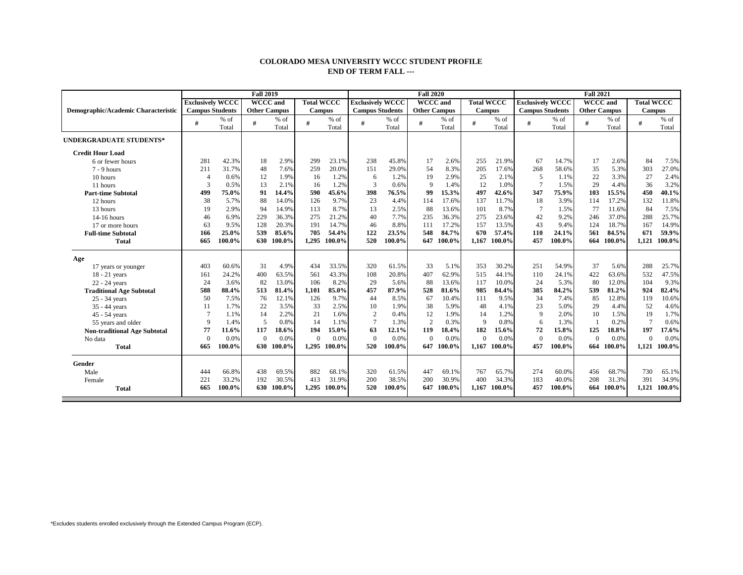## **COLORADO MESA UNIVERSITY WCCC STUDENT PROFILE END OF TERM FALL ---**

|                                     |                         |        |                     | <b>Fall 2020</b> |                   |        | <b>Fall 2021</b>        |        |                     |        |                   |        |                         |        |                     |        |                   |        |
|-------------------------------------|-------------------------|--------|---------------------|------------------|-------------------|--------|-------------------------|--------|---------------------|--------|-------------------|--------|-------------------------|--------|---------------------|--------|-------------------|--------|
|                                     | <b>Exclusively WCCC</b> |        | <b>WCCC</b> and     |                  | <b>Total WCCC</b> |        | <b>Exclusively WCCC</b> |        | <b>WCCC</b> and     |        | <b>Total WCCC</b> |        | <b>Exclusively WCCC</b> |        | <b>WCCC</b> and     |        | <b>Total WCCC</b> |        |
| Demographic/Academic Characteristic | <b>Campus Students</b>  |        | <b>Other Campus</b> |                  | <b>Campus</b>     |        | <b>Campus Students</b>  |        | <b>Other Campus</b> |        | <b>Campus</b>     |        | <b>Campus Students</b>  |        | <b>Other Campus</b> |        | <b>Campus</b>     |        |
|                                     | #                       | $%$ of | #                   | $%$ of           | #                 | $%$ of | #                       | $%$ of | #                   | $%$ of |                   | $%$ of | #                       | $%$ of | #                   | $%$ of | #                 | $%$ of |
|                                     |                         | Total  |                     | Total            |                   | Total  |                         | Total  |                     | Total  |                   | Total  |                         | Total  |                     | Total  |                   | Total  |
| <b>UNDERGRADUATE STUDENTS*</b>      |                         |        |                     |                  |                   |        |                         |        |                     |        |                   |        |                         |        |                     |        |                   |        |
| <b>Credit Hour Load</b>             |                         |        |                     |                  |                   |        |                         |        |                     |        |                   |        |                         |        |                     |        |                   |        |
| 6 or fewer hours                    | 281                     | 42.3%  | 18                  | 2.9%             | 299               | 23.1%  | 238                     | 45.8%  | 17                  | 2.6%   | 255               | 21.9%  | 67                      | 14.7%  | 17                  | 2.6%   | 84                | 7.5%   |
| $7 - 9$ hours                       | 211                     | 31.7%  | 48                  | 7.6%             | 259               | 20.0%  | 151                     | 29.0%  | 54                  | 8.3%   | 205               | 17.6%  | 268                     | 58.6%  | 35                  | 5.3%   | 303               | 27.0%  |
| 10 hours                            | $\overline{4}$          | 0.6%   | 12                  | 1.9%             | 16                | 1.2%   | 6                       | 1.2%   | 19                  | 2.9%   | 25                | 2.1%   | 5                       | 1.1%   | 22                  | 3.3%   | 27                | 2.4%   |
| 11 hours                            | 3                       | 0.5%   | 13                  | 2.1%             | 16                | 1.2%   | 3                       | 0.6%   | 9                   | 1.4%   | 12                | 1.0%   |                         | 1.5%   | 29                  | 4.4%   | 36                | 3.2%   |
| <b>Part-time Subtotal</b>           | 499                     | 75.0%  | 91                  | 14.4%            | 590               | 45.6%  | 398                     | 76.5%  | 99                  | 15.3%  | 497               | 42.6%  | 347                     | 75.9%  | 103                 | 15.5%  | 450               | 40.1%  |
| 12 hours                            | 38                      | 5.7%   | 88                  | 14.0%            | 126               | 9.7%   | 23                      | 4.4%   | 114                 | 17.6%  | 137               | 11.7%  | 18                      | 3.9%   | 114                 | 17.2%  | 132               | 11.8%  |
| 13 hours                            | 19                      | 2.9%   | 94                  | 14.9%            | 113               | 8.7%   | 13                      | 2.5%   | 88                  | 13.6%  | 101               | 8.7%   |                         | 1.5%   | 77                  | 11.6%  | 84                | 7.5%   |
| $14-16$ hours                       | 46                      | 6.9%   | 229                 | 36.3%            | 275               | 21.2%  | 40                      | 7.7%   | 235                 | 36.3%  | 275               | 23.6%  | 42                      | 9.2%   | 246                 | 37.0%  | 288               | 25.7%  |
| 17 or more hours                    | 63                      | 9.5%   | 128                 | 20.3%            | 191               | 14.7%  | 46                      | 8.8%   | 111                 | 17.2%  | 157               | 13.5%  | 43                      | 9.4%   | 124                 | 18.7%  | 167               | 14.9%  |
| <b>Full-time Subtotal</b>           | 166                     | 25.0%  | 539                 | 85.6%            | 705               | 54.4%  | 122                     | 23.5%  | 548                 | 84.7%  | 670               | 57.4%  | 110                     | 24.1%  | 561                 | 84.5%  | 671               | 59.9%  |
| <b>Total</b>                        | 665                     | 100.0% | 630                 | 100.0%           | 1.295             | 100.0% | 520                     | 100.0% | 647                 | 100.0% | 1.167             | 100.0% | 457                     | 100.0% | 664                 | 100.0% | 1.121             | 100.0% |
| Age                                 |                         |        |                     |                  |                   |        |                         |        |                     |        |                   |        |                         |        |                     |        |                   |        |
| 17 years or younger                 | 403                     | 60.6%  | 31                  | 4.9%             | 434               | 33.5%  | 320                     | 61.5%  | 33                  | 5.1%   | 353               | 30.2%  | 251                     | 54.9%  | 37                  | 5.6%   | 288               | 25.7%  |
| 18 - 21 years                       | 161                     | 24.2%  | 400                 | 63.5%            | 561               | 43.3%  | 108                     | 20.8%  | 407                 | 62.9%  | 515               | 44.1%  | 110                     | 24.1%  | 422                 | 63.6%  | 532               | 47.5%  |
| 22 - 24 years                       | 24                      | 3.6%   | 82                  | 13.0%            | 106               | 8.2%   | 29                      | 5.6%   | 88                  | 13.6%  | 117               | 10.0%  | 24                      | 5.3%   | 80                  | 12.0%  | 104               | 9.3%   |
| <b>Traditional Age Subtotal</b>     | 588                     | 88.4%  | 513                 | 81.4%            | 1.101             | 85.0%  | 457                     | 87.9%  | 528                 | 81.6%  | 985               | 84.4%  | 385                     | 84.2%  | 539                 | 81.2%  | 924               | 82.4%  |
| 25 - 34 years                       | 50                      | 7.5%   | 76                  | 12.1%            | 126               | 9.7%   | 44                      | 8.5%   | 67                  | 10.4%  | 111               | 9.5%   | 34                      | 7.4%   | 85                  | 12.8%  | 119               | 10.6%  |
| 35 - 44 years                       | 11                      | 1.7%   | 22                  | 3.5%             | 33                | 2.5%   | 10                      | 1.9%   | 38                  | 5.9%   | 48                | 4.1%   | 23                      | 5.0%   | 29                  | 4.4%   | 52                | 4.6%   |
| 45 - 54 years                       | $\overline{7}$          | 1.1%   | 14                  | 2.2%             | 21                | 1.6%   | $\overline{2}$          | 0.4%   | 12                  | 1.9%   | 14                | 1.2%   | 9                       | 2.0%   | 10                  | 1.5%   | 19                | 1.7%   |
| 55 years and older                  | $\overline{Q}$          | 1.4%   | 5                   | 0.8%             | 14                | 1.1%   | $\overline{7}$          | 1.3%   | $\overline{2}$      | 0.3%   | 9                 | 0.8%   | 6                       | 1.3%   |                     | 0.2%   | $\overline{7}$    | 0.6%   |
| <b>Non-traditional Age Subtotal</b> | 77                      | 11.6%  | 117                 | 18.6%            | 194               | 15.0%  | 63                      | 12.1%  | 119                 | 18.4%  | 182               | 15.6%  | 72                      | 15.8%  | 125                 | 18.8%  | 197               | 17.6%  |
| No data                             | $\Omega$                | 0.0%   | $\overline{0}$      | 0.0%             | $\Omega$          | 0.0%   | $\Omega$                | 0.0%   | $\Omega$            | 0.0%   | $\Omega$          | 0.0%   | $\Omega$                | 0.0%   | $\Omega$            | 0.0%   | $\Omega$          | 0.0%   |
| <b>Total</b>                        | 665                     | 100.0% | 630                 | 100.0%           | 1.295             | 100.0% | 520                     | 100.0% | 647                 | 100.0% | 1.167             | 100.0% | 457                     | 100.0% | 664                 | 100.0% | 1.121             | 100.0% |
| Gender                              |                         |        |                     |                  |                   |        |                         |        |                     |        |                   |        |                         |        |                     |        |                   |        |
| Male                                | 444                     | 66.8%  | 438                 | 69.5%            | 882               | 68.1%  | 320                     | 61.5%  | 447                 | 69.1%  | 767               | 65.7%  | 274                     | 60.0%  | 456                 | 68.7%  | 730               | 65.1%  |
| Female                              | 221                     | 33.2%  | 192                 | 30.5%            | 413               | 31.9%  | 200                     | 38.5%  | 200                 | 30.9%  | 400               | 34.3%  | 183                     | 40.0%  | 208                 | 31.3%  | 391               | 34.9%  |
| <b>Total</b>                        | 665                     | 100.0% | 630                 | 100.0%           | 1.295             | 100.0% | 520                     | 100.0% | 647                 | 100.0% | 1.167             | 100.0% | 457                     | 100.0% | 664                 | 100.0% | 1.121             | 100.0% |
|                                     |                         |        |                     |                  |                   |        |                         |        |                     |        |                   |        |                         |        |                     |        |                   |        |